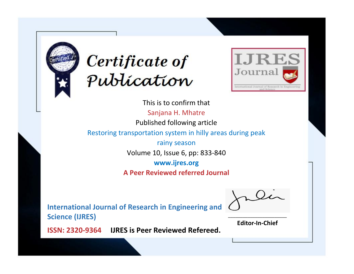



This is to confirm that Sanjana H. Mhatre Published following article Restoring transportation system in hilly areas during peak rainy season Volume 10, Issue 6, pp: 833-840 **www.ijres.org A Peer Reviewed referred Journal**

**International Journal of Research in Engineering and Science (IJRES)**

\_\_\_\_\_\_\_\_\_\_\_\_\_\_\_\_\_\_\_\_\_\_\_\_ **Editor-In-Chief**

**Journal.**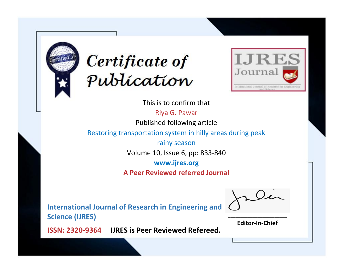



This is to confirm that

Riya G. Pawar Published following article

Restoring transportation system in hilly areas during peak

rainy season Volume 10, Issue 6, pp: 833-840

**www.ijres.org**

**A Peer Reviewed referred Journal**

**International Journal of Research in Engineering and Science (IJRES)**

\_\_\_\_\_\_\_\_\_\_\_\_\_\_\_\_\_\_\_\_\_\_\_\_ **Editor-In-Chief**

**Journal.**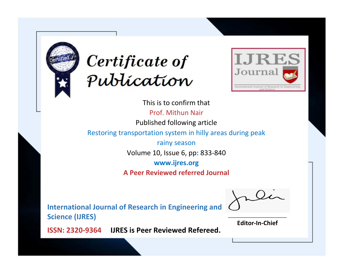



This is to confirm that Prof. Mithun Nair Published following article Restoring transportation system in hilly areas during peak rainy season Volume 10, Issue 6, pp: 833-840 **www.ijres.org A Peer Reviewed referred Journal**

**International Journal of Research in Engineering and Science (IJRES)**

\_\_\_\_\_\_\_\_\_\_\_\_\_\_\_\_\_\_\_\_\_\_\_\_ **Editor-In-Chief**

**Journal.**